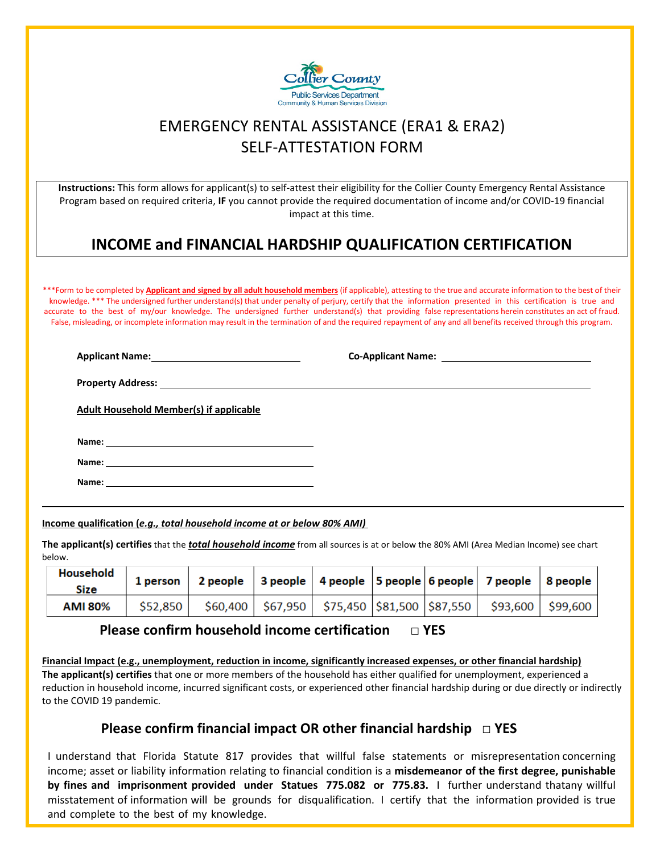

## EMERGENCY RENTAL ASSISTANCE (ERA1 & ERA2) SELF-ATTESTATION FORM

**Instructions:** This form allows for applicant(s) to self-attest their eligibility for the Collier County Emergency Rental Assistance Program based on required criteria, **IF** you cannot provide the required documentation of income and/or COVID-19 financial impact at this time.

## **INCOME and FINANCIAL HARDSHIP QUALIFICATION CERTIFICATION**

\*\*\*Form to be completed by **Applicant and signed by all adult household members** (if applicable), attesting to the true and accurate information to the best of their knowledge. \*\*\* The undersigned further understand(s) that under penalty of perjury, certify that the information presented in this certification is true and accurate to the best of my/our knowledge. The undersigned further understand(s) that providing false representations herein constitutes an act of fraud. False, misleading, or incomplete information may result in the termination of and the required repayment of any and all benefits received through this program.

**Applicant Name: Co-Applicant Name:** 

**Property Address:** 

**Adult Household Member(s) if applicable** 

**Name:** 

**Name:** 

**Name:** 

**Income qualification (***e.g., total household income at or below 80% AMI)* 

**The applicant(s) certifies** that the *total household income* from all sources is at or below the 80% AMI (Area Median Income) see chart below.

| Household<br>Size | 1 person   2 people   3 people   4 people   5 people   6 people   7 people   8 people             |  |  |  |
|-------------------|---------------------------------------------------------------------------------------------------|--|--|--|
| <b>AMI 80%</b>    | $\frac{1}{2}$ \$52,850   \$60,400   \$67,950   \$75,450  \$81,500  \$87,550   \$93,600   \$99,600 |  |  |  |

## **Please confirm household income certification □ YES**

**Financial Impact (e.g., unemployment, reduction in income, significantly increased expenses, or other financial hardship) The applicant(s) certifies** that one or more members of the household has either qualified for unemployment, experienced a reduction in household income, incurred significant costs, or experienced other financial hardship during or due directly or indirectly to the COVID 19 pandemic.

## **Please confirm financial impact OR other financial hardship □ YES**

I understand that Florida Statute 817 provides that willful false statements or misrepresentation concerning income; asset or liability information relating to financial condition is a **misdemeanor of the first degree, punishable by fines and imprisonment provided under Statues 775.082 or 775.83.** I further understand thatany willful  misstatement of information will be grounds for disqualification. I certify that the information provided is true and complete to the best of my knowledge.